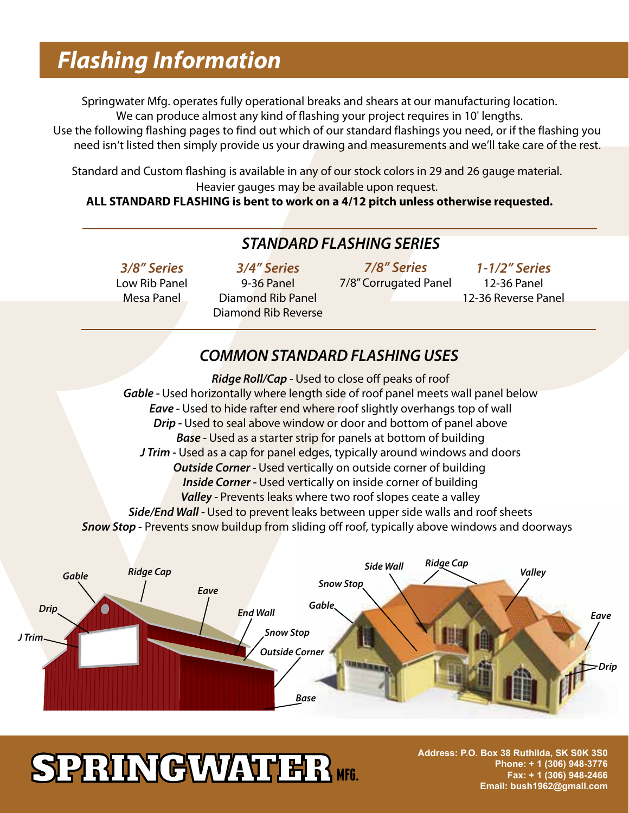### *Flashing Information*

Springwater Mfg. operates fully operational breaks and shears at our manufacturing location. We can produce almost any kind of flashing your project requires in 10' lengths.

Use the following flashing pages to find out which of our standard flashings you need, or if the flashing you need isn't listed then simply provide us your drawing and measurements and we'll take care of the rest.

Standard and Custom flashing is available in any of our stock colors in 29 and 26 gauge material. Heavier gauges may be available upon request.

**ALL STANDARD FLASHING is bent to work on a 4/12 pitch unless otherwise requested.**

#### *STANDARD FLASHING SERIES*

*3/8" Series* Low Rib Panel Mesa Panel

*3/4" Series* 9-36 Panel Diamond Rib Panel Diamond Rib Reverse

*7/8" Series* 7/8" Corrugated Panel

*1-1/2" Series* 12-36 Panel 12-36 Reverse Panel

#### *COMMON STANDARD FLASHING USES*

*Ridge Roll/Cap - Used to close off peaks of roof Gable -* Used horizontally where length side of roof panel meets wall panel below *Eave* - Used to hide rafter end where roof slightly overhangs top of wall **Drip - Used to seal above window or door and bottom of panel above** *Base -* Used as a starter strip for panels at bottom of building *J Trim -* Used as a cap for panel edges, typically around windows and doors *Outside Corner -* Used vertically on outside corner of building *Inside Corner -* Used vertically on inside corner of building Valley - Prevents leaks where two roof slopes ceate a valley *Side/End Wall -* Used to prevent leaks between upper side walls and roof sheets **Snow Stop -** Prevents snow buildup from sliding off roof, typically above windows and doorways



# **SPRINGWATHR MFG.**

**TF: 877-463-8256 Address: P.O. Box 38 Ruthilda, SK S0K 3S0 PH: 780-979-0325 Phone: + 1 (306) 948-3776 FAX: 780-955-8636 Fax: + 1 (306) 948-2466 www.versaframe.ca Email: bush1962@gmail.com**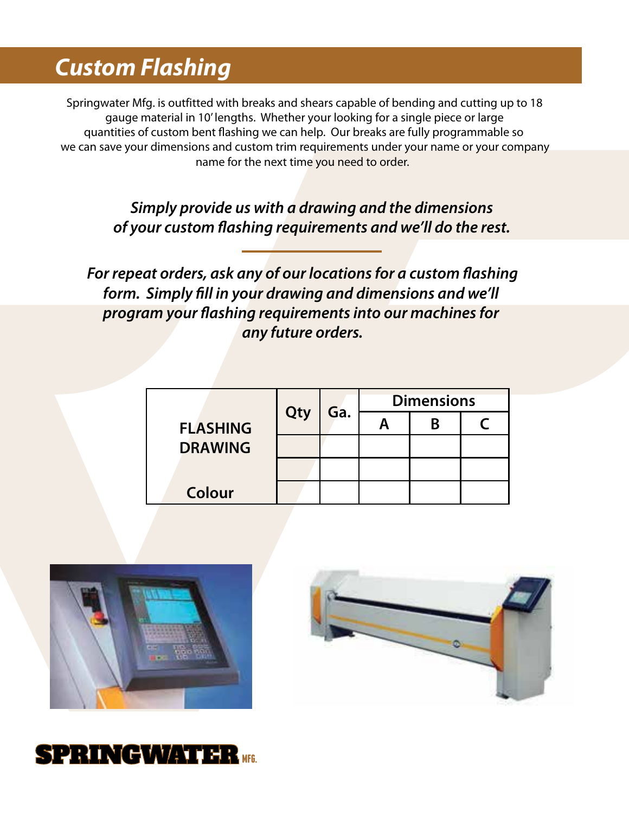### *Custom Flashing*

Springwater Mfg. is outfitted with breaks and shears capable of bending and cutting up to 18 gauge material in 10' lengths. Whether your looking for a single piece or large quantities of custom bent flashing we can help. Our breaks are fully programmable so we can save your dimensions and custom trim requirements under your name or your company name for the next time you need to order.

> *Simply provide us with a drawing and the dimensions of your custom ashing requirements and we'll do the rest.*

For repeat orders, ask any of our locations for a custom flashing form. Simply fill in your drawing and dimensions and we'll program your flashing requirements into our machines for *any future orders.*

| <b>FLASHING</b><br><b>DRAWING</b> | Qty | Ga. | <b>Dimensions</b> |  |  |
|-----------------------------------|-----|-----|-------------------|--|--|
|                                   |     |     |                   |  |  |
|                                   |     |     |                   |  |  |
|                                   |     |     |                   |  |  |
| Colour                            |     |     |                   |  |  |





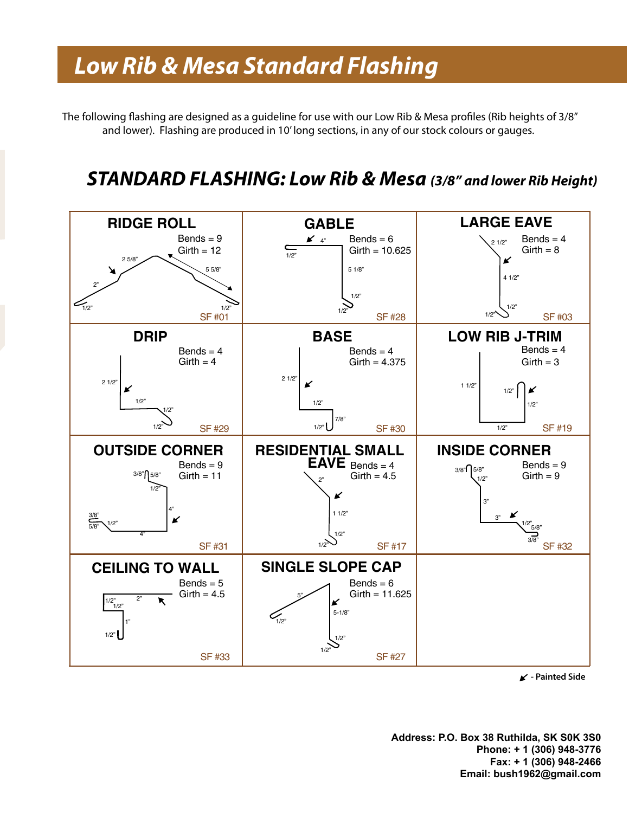# **Low Rib & Mesa Standard Flashing**

The following flashing are designed as a guideline for use with our Low Rib & Mesa profiles (Rib heights of 3/8" and lower). Flashing are produced in 10' long sections, in any of our stock colours or gauges.

#### *STANDARD FLASHING: Low Rib & Mesa (3/8" and lower Rib Height)*



**- Painted Side**

**TF: 877-463-8256 TF: 877-463-8256 Phone: + 1 (306) 948-3776 PH: 780-979-0325 PH: 780-979-0325 Fax: + 1 (306) 948-2466 FAX: 780-955-8636 FAX: 780-955-8636 Email: bush1962@gmail.com Address: P.O. Box 38 Ruthilda, SK S0K 3S0**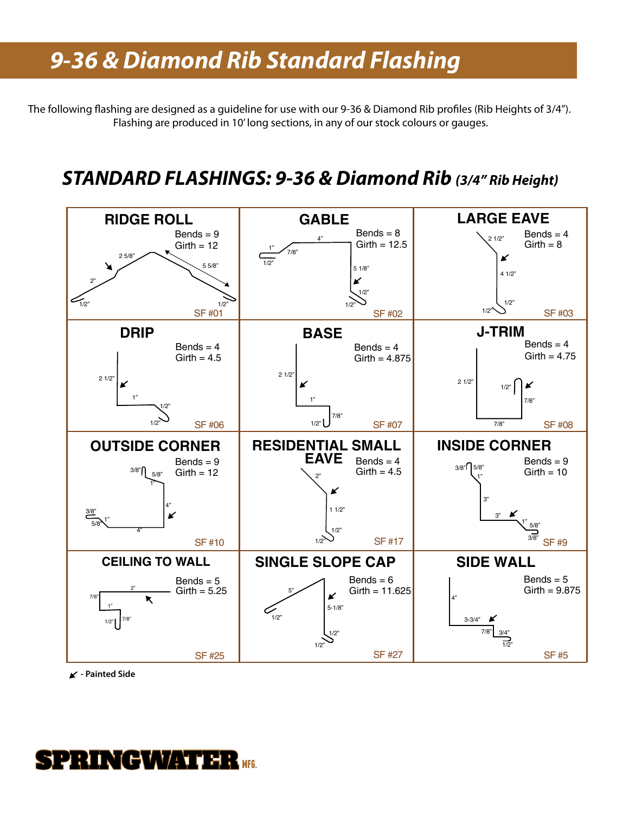# *Standard Stock Trim 9-36 & Diamond Rib Standard Flashing*

The following flashing are designed as a guideline for use with our 9-36 & Diamond Rib profiles (Rib Heights of 3/4"). Flashing are produced in 10' long sections, in any of our stock colours or gauges.

#### *STANDARD FLASHINGS: 9-36 & Diamond Rib (3/4" Rib Height)*



**- Painted Side**

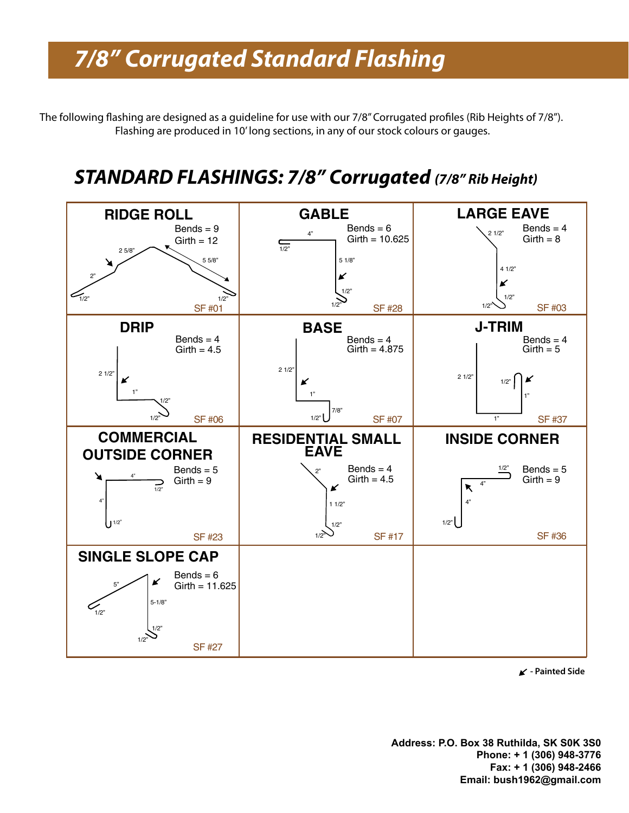# *Standard Stock Trim 7/8" Corrugated Standard Flashing*

The following flashing are designed as a guideline for use with our 7/8" Corrugated profiles (Rib Heights of 7/8"). Flashing are produced in 10' long sections, in any of our stock colours or gauges.

#### *STANDARD FLASHINGS: 7/8" Corrugated (7/8" Rib Height)*



**- Painted Side**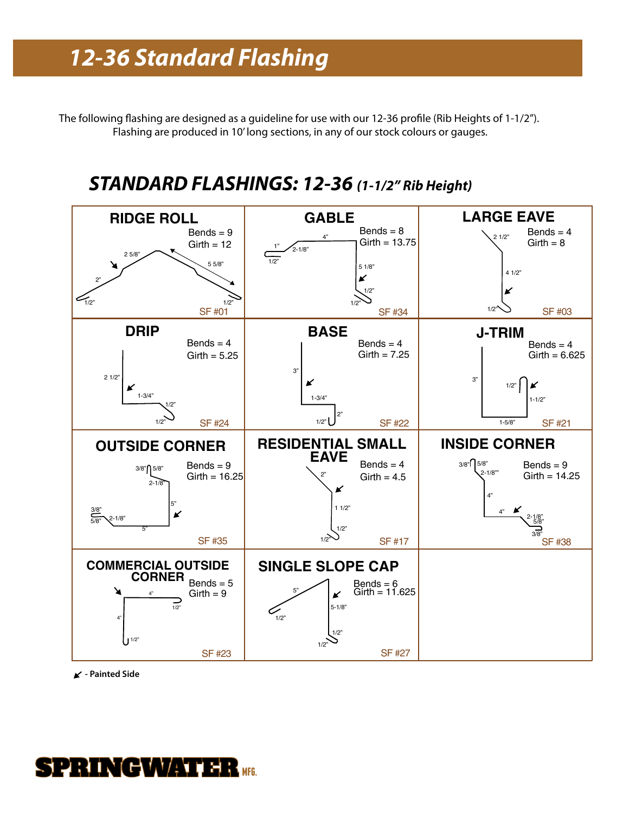## **12-36 Standard Flashing**

The following flashing are designed as a guideline for use with our 12-36 profile (Rib Heights of 1-1/2"). Flashing are produced in 10' long sections, in any of our stock colours or gauges.

#### *STANDARD FLASHINGS: 12-36 (1-1/2" Rib Height)*



**- Painted Side**